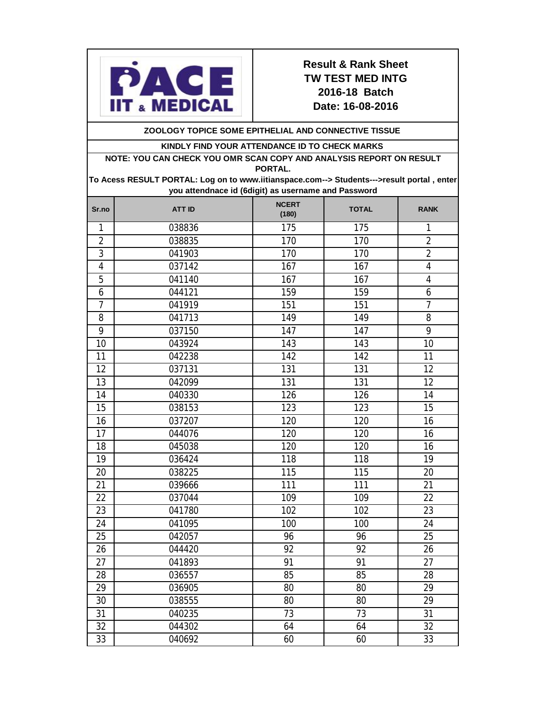

## **Result & Rank Sheet TW TEST MED INTG 2016-18 Batch Date: 16-08-2016**

**ZOOLOGY TOPICE SOME EPITHELIAL AND CONNECTIVE TISSUE** 

### **KINDLY FIND YOUR ATTENDANCE ID TO CHECK MARKS**

**NOTE: YOU CAN CHECK YOU OMR SCAN COPY AND ANALYSIS REPORT ON RESULT PORTAL.** 

**To Acess RESULT PORTAL: Log on to www.iitianspace.com--> Students--->result portal , enter you attendnace id (6digit) as username and Password**

| Sr.no          | <b>ATT ID</b> | <b>NCERT</b><br>(180) | <b>TOTAL</b> | <b>RANK</b>     |
|----------------|---------------|-----------------------|--------------|-----------------|
| 1              | 038836        | 175                   | 175          | 1               |
| $\overline{2}$ | 038835        | 170                   | 170          | $\overline{2}$  |
| $\overline{3}$ | 041903        | 170                   | 170          | $\overline{2}$  |
| $\overline{4}$ | 037142        | 167                   | 167          | 4               |
| 5              | 041140        | 167                   | 167          | $\overline{4}$  |
| 6              | 044121        | 159                   | 159          | 6               |
| $\overline{7}$ | 041919        | 151                   | 151          | $\overline{7}$  |
| 8              | 041713        | 149                   | 149          | 8               |
| 9              | 037150        | 147                   | 147          | 9               |
| 10             | 043924        | 143                   | 143          | 10              |
| 11             | 042238        | 142                   | 142          | 11              |
| 12             | 037131        | 131                   | 131          | 12              |
| 13             | 042099        | 131                   | 131          | $\overline{12}$ |
| 14             | 040330        | 126                   | 126          | 14              |
| 15             | 038153        | 123                   | 123          | 15              |
| 16             | 037207        | 120                   | 120          | 16              |
| 17             | 044076        | 120                   | 120          | 16              |
| 18             | 045038        | 120                   | 120          | 16              |
| 19             | 036424        | 118                   | 118          | 19              |
| 20             | 038225        | 115                   | 115          | 20              |
| 21             | 039666        | 111                   | 111          | 21              |
| 22             | 037044        | 109                   | 109          | 22              |
| 23             | 041780        | 102                   | 102          | 23              |
| 24             | 041095        | 100                   | 100          | 24              |
| 25             | 042057        | 96                    | 96           | 25              |
| 26             | 044420        | 92                    | 92           | 26              |
| 27             | 041893        | 91                    | 91           | 27              |
| 28             | 036557        | 85                    | 85           | 28              |
| 29             | 036905        | 80                    | 80           | 29              |
| 30             | 038555        | 80                    | 80           | 29              |
| 31             | 040235        | 73                    | 73           | 31              |
| 32             | 044302        | 64                    | 64           | 32              |
| 33             | 040692        | 60                    | 60           | 33              |